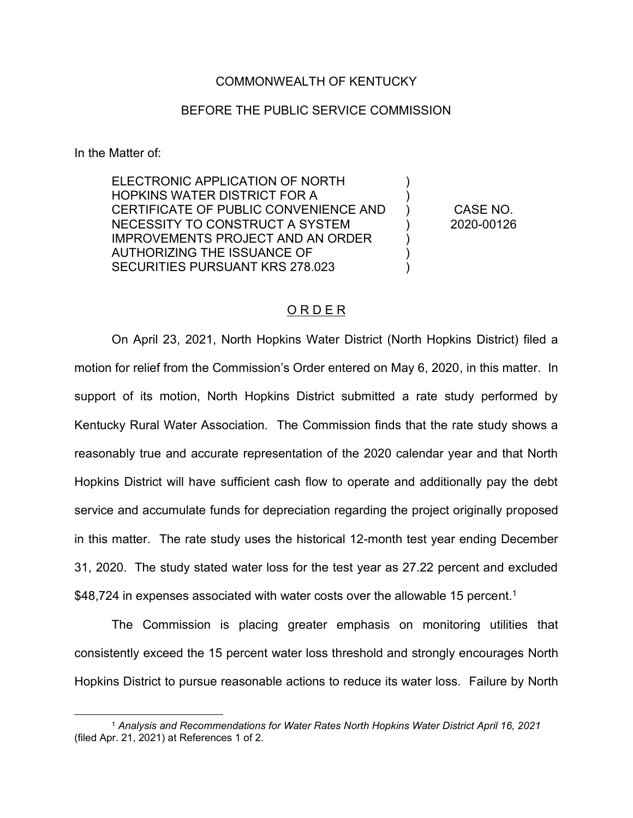## COMMONWEALTH OF KENTUCKY

## BEFORE THE PUBLIC SERVICE COMMISSION

In the Matter of:

ELECTRONIC APPLICATION OF NORTH HOPKINS WATER DISTRICT FOR A CERTIFICATE OF PUBLIC CONVENIENCE AND NECESSITY TO CONSTRUCT A SYSTEM IMPROVEMENTS PROJECT AND AN ORDER AUTHORIZING THE ISSUANCE OF SECURITIES PURSUANT KRS 278.023 ) ) ) ) ) ) )

CASE NO. 2020-00126

## O R D E R

On April 23, 2021, North Hopkins Water District (North Hopkins District) filed a motion for relief from the Commission's Order entered on May 6, 2020, in this matter. In support of its motion, North Hopkins District submitted a rate study performed by Kentucky Rural Water Association. The Commission finds that the rate study shows a reasonably true and accurate representation of the 2020 calendar year and that North Hopkins District will have sufficient cash flow to operate and additionally pay the debt service and accumulate funds for depreciation regarding the project originally proposed in this matter. The rate study uses the historical 12-month test year ending December 31, 2020. The study stated water loss for the test year as 27.22 percent and excluded \$48,724 in expenses associated with water costs over the allowable 15 percent.<sup>1</sup>

The Commission is placing greater emphasis on monitoring utilities that consistently exceed the 15 percent water loss threshold and strongly encourages North Hopkins District to pursue reasonable actions to reduce its water loss. Failure by North

<sup>1</sup> *Analysis and Recommendations for Water Rates North Hopkins Water District April 16, 2021* (filed Apr. 21, 2021) at References 1 of 2.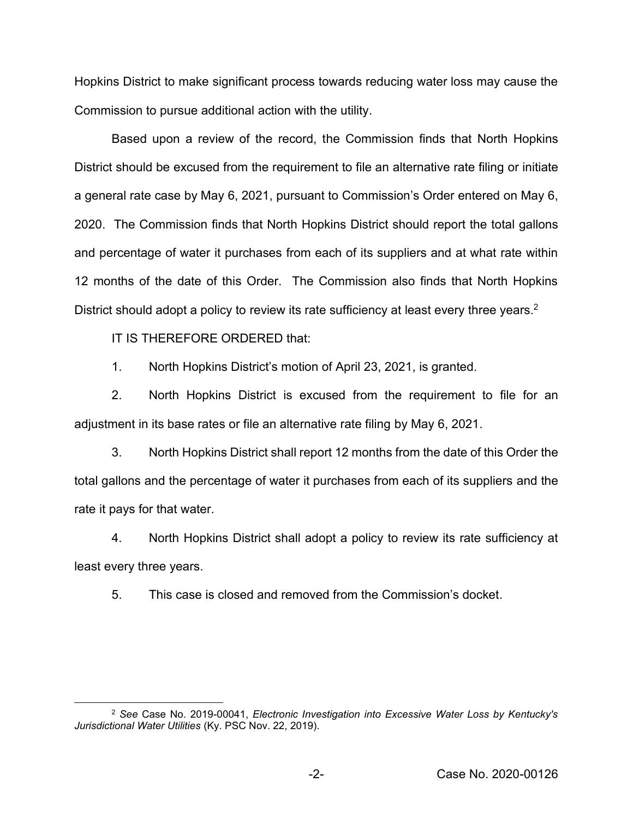Hopkins District to make significant process towards reducing water loss may cause the Commission to pursue additional action with the utility.

Based upon a review of the record, the Commission finds that North Hopkins District should be excused from the requirement to file an alternative rate filing or initiate a general rate case by May 6, 2021, pursuant to Commission's Order entered on May 6, 2020. The Commission finds that North Hopkins District should report the total gallons and percentage of water it purchases from each of its suppliers and at what rate within 12 months of the date of this Order. The Commission also finds that North Hopkins District should adopt a policy to review its rate sufficiency at least every three years.<sup>2</sup>

IT IS THEREFORE ORDERED that:

1. North Hopkins District's motion of April 23, 2021, is granted.

2. North Hopkins District is excused from the requirement to file for an adjustment in its base rates or file an alternative rate filing by May 6, 2021.

3. North Hopkins District shall report 12 months from the date of this Order the total gallons and the percentage of water it purchases from each of its suppliers and the rate it pays for that water.

4. North Hopkins District shall adopt a policy to review its rate sufficiency at least every three years.

5. This case is closed and removed from the Commission's docket.

<sup>2</sup> *See* Case No. 2019-00041, *Electronic Investigation into Excessive Water Loss by Kentucky's Jurisdictional Water Utilities* (Ky. PSC Nov. 22, 2019).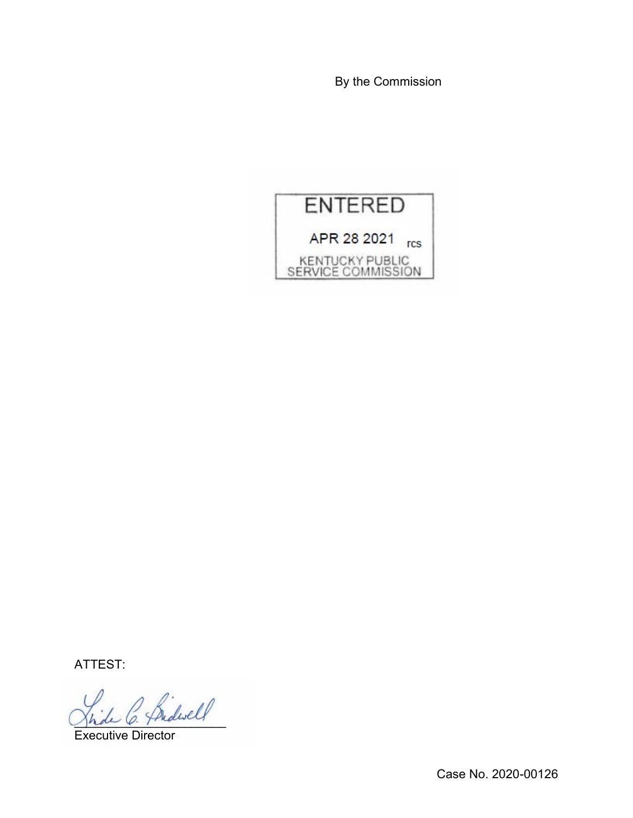By the Commission



ATTEST:

 $\sim$  Sidwell

Executive Director

Case No. 2020-00126